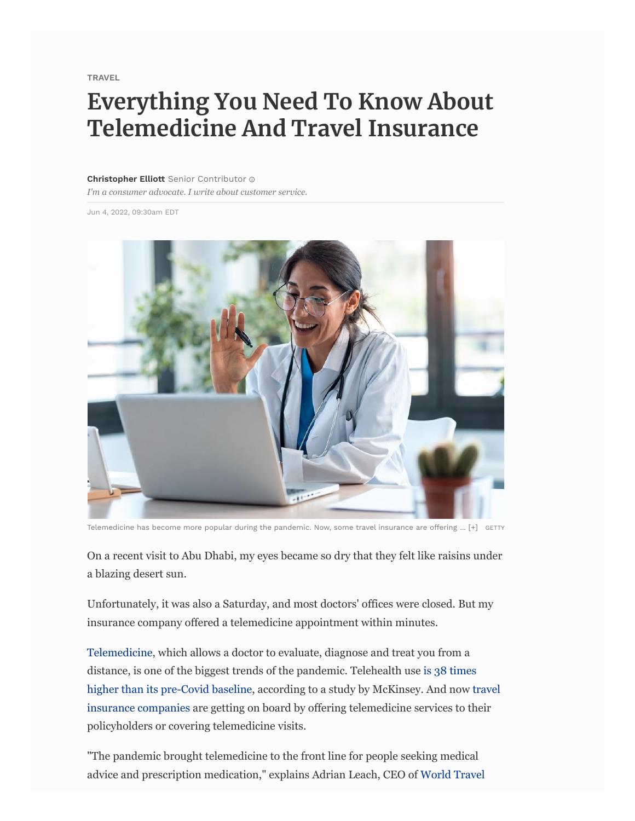**[TRAVEL](https://www.forbes.com/travel)**

# **Everything You Need To Know About Telemedicine And Travel Insurance**

#### **[Christopher](https://www.forbes.com/sites/christopherelliott/) Elliott** Senior Contributor

*I'm a consumer advocate. I write about customer service.*

Jun 4, 2022, 09:30am EDT



Telemedicine has become more popular during the pandemic. Now, some travel insurance are offering ... [+]

On a recent visit to Abu Dhabi, my eyes became so dry that they felt like raisins under a blazing desert sun.

Unfortunately, it was also a Saturday, and most doctors' offices were closed. But my insurance company offered a telemedicine appointment within minutes.

[Telemedicine](https://www.forbes.com/sites/forbesbusinessdevelopmentcouncil/2020/12/07/what-is-telemedicine-and-how-has-it-evolved-during-the-pandemic/?sh=4c68bb802deb), which allows a doctor to evaluate, diagnose and treat you from a [distance, is one of the biggest trends of the pandemic. Telehealth use is 38 times](https://www.mckinsey.com/industries/healthcare-systems-and-services/our-insights/telehealth-a-quarter-trillion-dollar-post-covid-19-reality) [higher than its pre-Covid baseline, according to a study by McKinsey. And now travel](https://www.forbes.com/advisor/travel-insurance/best-travel-insurance/) insurance companies are getting on board by offering telemedicine services to their policyholders or covering telemedicine visits.

"The pandemic brought telemedicine to the front line for people seeking medical [advice and prescription medication," explains Adrian Leach, CEO of World Travel](https://worldtravelprotection.com/)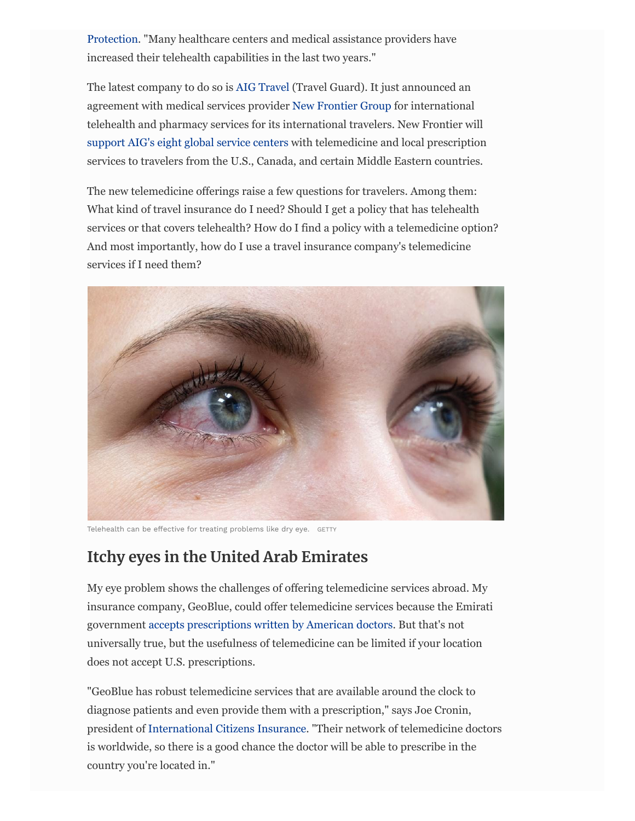[Protection. "Many healthcare centers and medical assistance providers have](https://worldtravelprotection.com/) increased their telehealth capabilities in the last two years."

The latest company to do so is [AIG Travel](https://www.forbes.com/advisor/travel-insurance/aig-travel-insurance-review/) (Travel Guard). It just announced an agreement with medical services provider [New Frontier Group](https://newfrontiergroup.com/) for international telehealth and pharmacy services for its international travelers. New Frontier will [support AIG's eight global service centers](https://www.travelguard.com/corporate-travel/about-us/corporate-travel-news/aig-travel-announces-telehealth-services) with telemedicine and local prescription services to travelers from the U.S., Canada, and certain Middle Eastern countries.

The new telemedicine offerings raise a few questions for travelers. Among them: What kind of travel insurance do I need? Should I get a policy that has telehealth services or that covers telehealth? How do I find a policy with a telemedicine option? And most importantly, how do I use a travel insurance company's telemedicine services if I need them?



Telehealth can be effective for treating problems like dry eye. GETTY

### **Itchy eyes in the United Arab Emirates**

My eye problem shows the challenges of offering telemedicine services abroad. My insurance company, GeoBlue, could offer telemedicine services because the Emirati government [accepts prescriptions written by American doctors](https://www.doh.gov.ae/en/pqr/physicians). But that's not universally true, but the usefulness of telemedicine can be limited if your location does not accept U.S. prescriptions.

"GeoBlue has robust telemedicine services that are available around the clock to diagnose patients and even provide them with a prescription," says Joe Cronin, president of [International Citizens Insurance.](https://www.internationalinsurance.com/) "Their network of telemedicine doctors is worldwide, so there is a good chance the doctor will be able to prescribe in the country you're located in."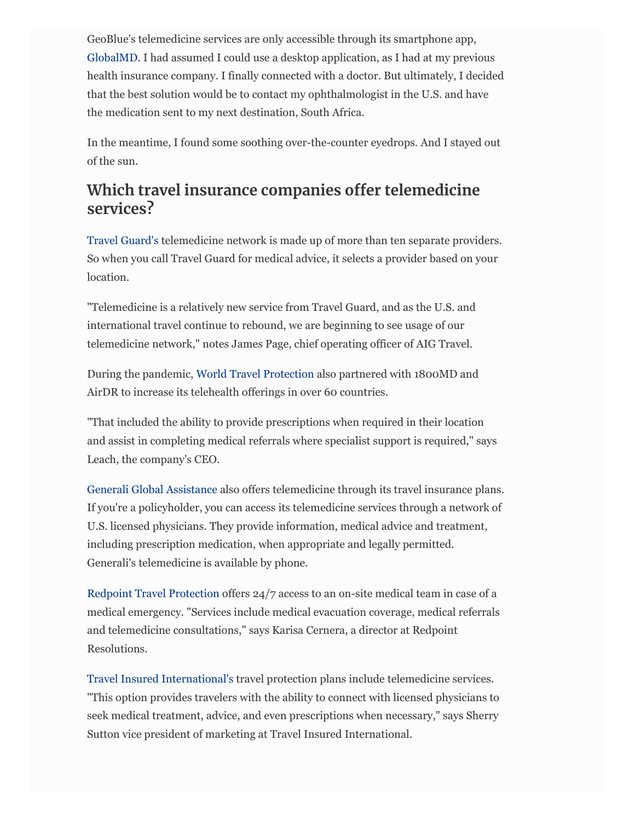GeoBlue's telemedicine services are only accessible through its smartphone app, [GlobalMD.](https://about.geo-blue.com/mobile-resources) I had assumed I could use a desktop application, as I had at my previous health insurance company. I finally connected with a doctor. But ultimately, I decided that the best solution would be to contact my ophthalmologist in the U.S. and have the medication sent to my next destination, South Africa.

In the meantime, I found some soothing over-the-counter eyedrops. And I stayed out of the sun.

### **Which travel insurance companies offer telemedicine services?**

[Travel Guard's](https://www.forbes.com/advisor/travel-insurance/aig-travel-insurance-review/) telemedicine network is made up of more than ten separate providers. So when you call Travel Guard for medical advice, it selects a provider based on your location.

"Telemedicine is a relatively new service from Travel Guard, and as the U.S. and international travel continue to rebound, we are beginning to see usage of our telemedicine network," notes James Page, chief operating officer of AIG Travel.

During the pandemic, [World Travel Protection](https://worldtravelprotection.com/) also partnered with 1800MD and AirDR to increase its telehealth offerings in over 60 countries.

"That included the ability to provide prescriptions when required in their location and assist in completing medical referrals where specialist support is required," says Leach, the company's CEO.

[Generali Global Assistance](https://www.generalitravelinsurance.com/) also offers telemedicine through its travel insurance plans. If you're a policyholder, you can access its telemedicine services through a network of U.S. licensed physicians. They provide information, medical advice and treatment, including prescription medication, when appropriate and legally permitted. Generali's telemedicine is available by phone.

[Redpoint Travel Protection](https://ripcordtravelprotection.com/category/redpoint-resolutions/) offers 24/7 access to an on-site medical team in case of a medical emergency. "Services include medical evacuation coverage, medical referrals and telemedicine consultations," says Karisa Cernera, a director at Redpoint Resolutions.

[Travel Insured International's](https://www.travelinsured.com/) travel protection plans include telemedicine services. "This option provides travelers with the ability to connect with licensed physicians to seek medical treatment, advice, and even prescriptions when necessary," says Sherry Sutton vice president of marketing at Travel Insured International.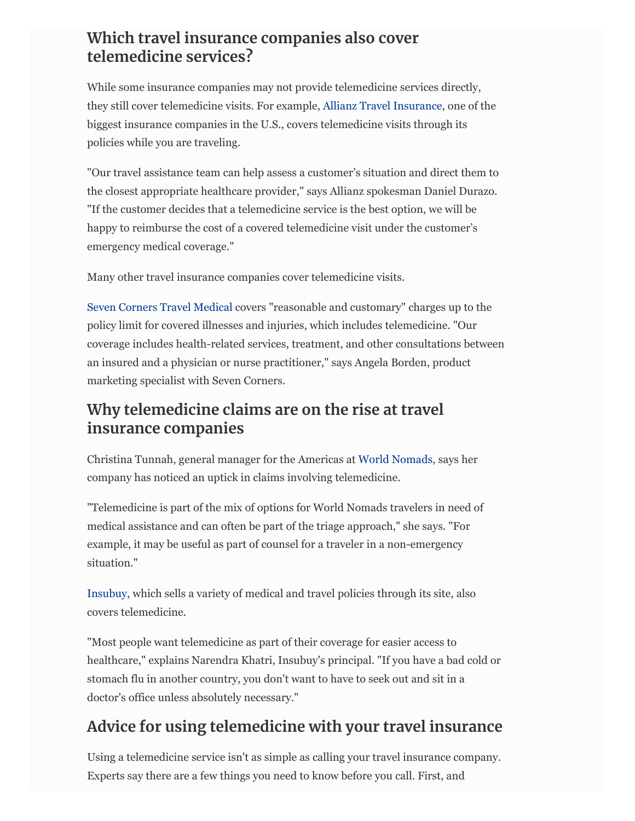### **Which travel insurance companies also cover telemedicine services?**

While some insurance companies may not provide telemedicine services directly, they still cover telemedicine visits. For example, [Allianz Travel Insurance,](https://www.forbes.com/advisor/travel-insurance/allianz-travel-insurance-review/) one of the biggest insurance companies in the U.S., covers telemedicine visits through its policies while you are traveling.

"Our travel assistance team can help assess a customer's situation and direct them to the closest appropriate healthcare provider," says Allianz spokesman Daniel Durazo. "If the customer decides that a telemedicine service is the best option, we will be happy to reimburse the cost of a covered telemedicine visit under the customer's emergency medical coverage."

Many other travel insurance companies cover telemedicine visits.

[Seven Corners Travel Medical](https://www.sevencorners.com/) covers "reasonable and customary" charges up to the policy limit for covered illnesses and injuries, which includes telemedicine. "Our coverage includes health-related services, treatment, and other consultations between an insured and a physician or nurse practitioner," says Angela Borden, product marketing specialist with Seven Corners.

### **Why telemedicine claims are on the rise at travel insurance companies**

Christina Tunnah, general manager for the Americas at [World Nomads,](https://www.forbes.com/advisor/travel-insurance/world-nomads-travel-insurance-review/) says her company has noticed an uptick in claims involving telemedicine.

"Telemedicine is part of the mix of options for World Nomads travelers in need of medical assistance and can often be part of the triage approach," she says. "For example, it may be useful as part of counsel for a traveler in a non-emergency situation."

[Insubuy,](https://www.insubuy.com/) which sells a variety of medical and travel policies through its site, also covers telemedicine.

"Most people want telemedicine as part of their coverage for easier access to healthcare," explains Narendra Khatri, Insubuy's principal. "If you have a bad cold or stomach flu in another country, you don't want to have to seek out and sit in a doctor's office unless absolutely necessary."

## **Advice for using telemedicine with your travel insurance**

Using a telemedicine service isn't as simple as calling your travel insurance company. Experts say there are a few things you need to know before you call. First, and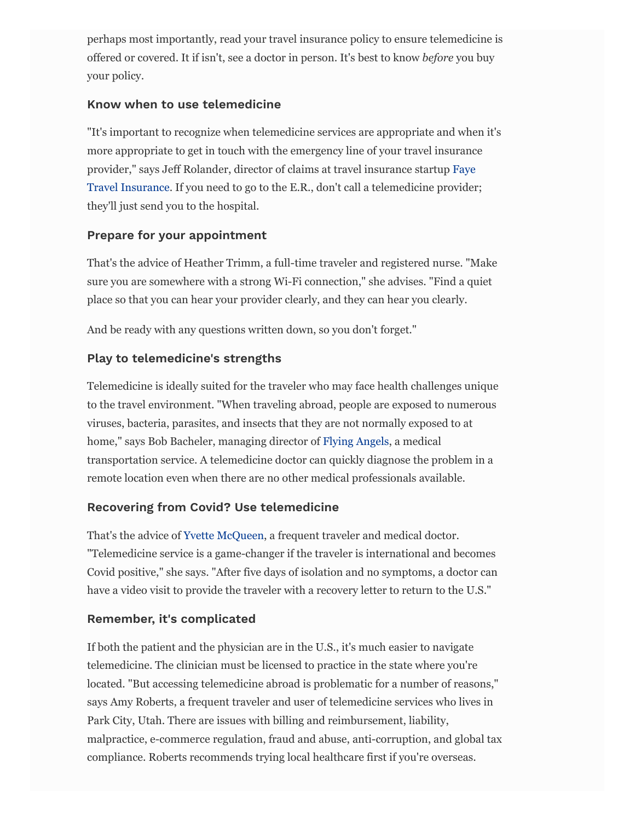perhaps most importantly, read your travel insurance policy to ensure telemedicine is offered or covered. It if isn't, see a doctor in person. It's best to know *before* you buy your policy.

#### **Know when to use telemedicine**

"It's important to recognize when telemedicine services are appropriate and when it's more appropriate to get in touch with the emergency line of your travel insurance [provider," says Jeff Rolander, director of claims at travel insurance startup Faye](https://www.withfaye.com/) Travel Insurance. If you need to go to the E.R., don't call a telemedicine provider; they'll just send you to the hospital.

#### **Prepare for your appointment**

That's the advice of Heather Trimm, a full-time traveler and registered nurse. "Make sure you are somewhere with a strong Wi-Fi connection," she advises. "Find a quiet place so that you can hear your provider clearly, and they can hear you clearly.

And be ready with any questions written down, so you don't forget."

#### **Play to telemedicine's strengths**

Telemedicine is ideally suited for the traveler who may face health challenges unique to the travel environment. "When traveling abroad, people are exposed to numerous viruses, bacteria, parasites, and insects that they are not normally exposed to at home," says Bob Bacheler, managing director o[f Flying Angels,](https://www.flyingangels.com/) a medical transportation service. A telemedicine doctor can quickly diagnose the problem in a remote location even when there are no other medical professionals available.

#### **Recovering from Covid? Use telemedicine**

That's the advice of [Yvette McQueen,](http://www.yvettemcqueenmd.com/) a frequent traveler and medical doctor. "Telemedicine service is a game-changer if the traveler is international and becomes Covid positive," she says. "After five days of isolation and no symptoms, a doctor can have a video visit to provide the traveler with a recovery letter to return to the U.S."

#### **Remember, it's complicated**

If both the patient and the physician are in the U.S., it's much easier to navigate telemedicine. The clinician must be licensed to practice in the state where you're located. "But accessing telemedicine abroad is problematic for a number of reasons," says Amy Roberts, a frequent traveler and user of telemedicine services who lives in Park City, Utah. There are issues with billing and reimbursement, liability, malpractice, e-commerce regulation, fraud and abuse, anti-corruption, and global tax compliance. Roberts recommends trying local healthcare first if you're overseas.